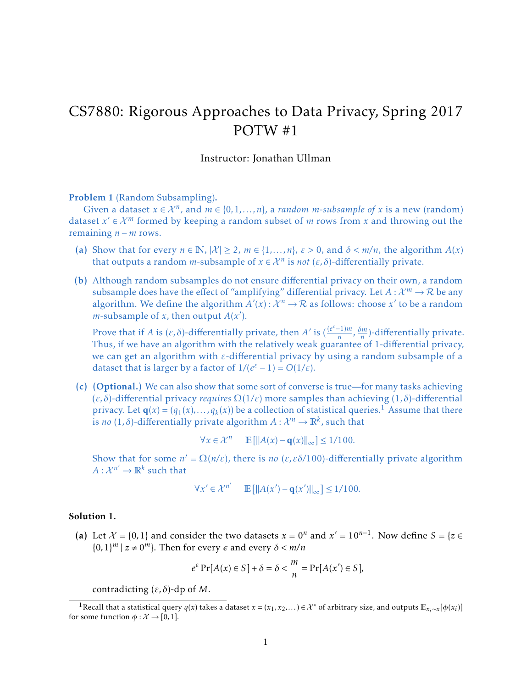## CS7880: Rigorous Approaches to Data Privacy, Spring 2017 POTW #1

## Instructor: Jonathan Ullman

Problem 1 (Random Subsampling). .

Given a dataset  $x \in \mathcal{X}^n$ , and  $m \in \{0, 1, ..., n\}$ , a *random m*-subsample of x is a new (random) dataset  $x' \in \mathcal{X}^m$  formed by keeping a random subset of *m* rows from *x* and throwing out the remaining *n* − *m* rows.

- (a) Show that for every  $n \in \mathbb{N}$ ,  $|\mathcal{X}| \ge 2$ ,  $m \in \{1, ..., n\}$ ,  $\varepsilon > 0$ , and  $\delta < m/n$ , the algorithm  $A(x)$ that outputs a random *m*-subsample of  $x \in \mathcal{X}^n$  is *not*  $(\varepsilon, \delta)$ -differentially private.
- (b) Although random subsamples do not ensure differential privacy on their own, a random subsample does have the effect of "amplifying" differential privacy. Let  $A: \mathcal{X}^m \to \mathcal{R}$  be any algorithm. We define the algorithm  $A'(x): \mathcal{X}^n \to \mathcal{R}$  as follows: choose x' to be a random *m*-subsample of *x*, then output  $A(x')$ .

Prove that if *A* is  $(\varepsilon, \delta)$ -differentially private, then *A'* is  $\left(\frac{(e^{\varepsilon}-1)m}{n}\right)$  $\frac{(n-1)m}{n}$ ,  $\frac{\delta m}{n}$  $\frac{dm}{n}$ )-differentially private. Thus, if we have an algorithm with the relatively weak guarantee of 1-differential privacy, we can get an algorithm with *ε*-differential privacy by using a random subsample of a dataset that is larger by a factor of  $1/(e^{\varepsilon}-1) = O(1/\varepsilon)$ .

(c) (Optional.) We can also show that some sort of converse is true—for many tasks achieving (*ε, δ*)-differential privacy *requires* Ω(1*/ε*) more samples than achieving (1*, δ*)-differential privacy. Let  $\mathbf{q}(x) = (q_1(x),...,q_k(x))$  $\mathbf{q}(x) = (q_1(x),...,q_k(x))$  $\mathbf{q}(x) = (q_1(x),...,q_k(x))$  be a collection of statistical queries.<sup>1</sup> Assume that there is *no* (1,  $\delta$ )-differentially private algorithm  $A: \mathcal{X}^n \to \mathbb{R}^k$ , such that

$$
\forall x \in \mathcal{X}^n \qquad \mathbb{E}\left[\|A(x) - \mathbf{q}(x)\|_{\infty}\right] \le 1/100.
$$

Show that for some  $n' = \Omega(n/\varepsilon)$ , there is *no* ( $\varepsilon, \varepsilon \delta/100$ )-differentially private algorithm  $A: \mathcal{X}^{n'} \to \mathbb{R}^k$  such that

$$
\forall x' \in \mathcal{X}^{n'} \qquad \mathbb{E}\left[\|A(x') - \mathbf{q}(x')\|_{\infty}\right] \le 1/100.
$$

## Solution 1.

(a) Let  $\mathcal{X} = \{0,1\}$  and consider the two datasets  $x = 0^n$  and  $x' = 10^{n-1}$ . Now define  $S = \{z \in \mathcal{X} \mid z \in \mathcal{X}\}$  $\{0, 1\}^m \mid z \neq 0^m\}$ . Then for every  $\epsilon$  and every  $\delta < m/n$ 

$$
e^{\varepsilon} \Pr[A(x) \in S] + \delta = \delta < \frac{m}{n} = \Pr[A(x') \in S],
$$

contradicting (*ε, δ*)-dp of *M*.

<span id="page-0-0"></span><sup>&</sup>lt;sup>1</sup>Recall that a statistical query *q*(*x*) takes a dataset *x* = (*x*<sub>1</sub>, *x*<sub>2</sub>,....)∈  $X^*$  of arbitrary size, and outputs  $\mathbb{E}_{x_i \sim x}[\phi(x_i)]$ for some function  $\phi : \mathcal{X} \to [0,1]$ .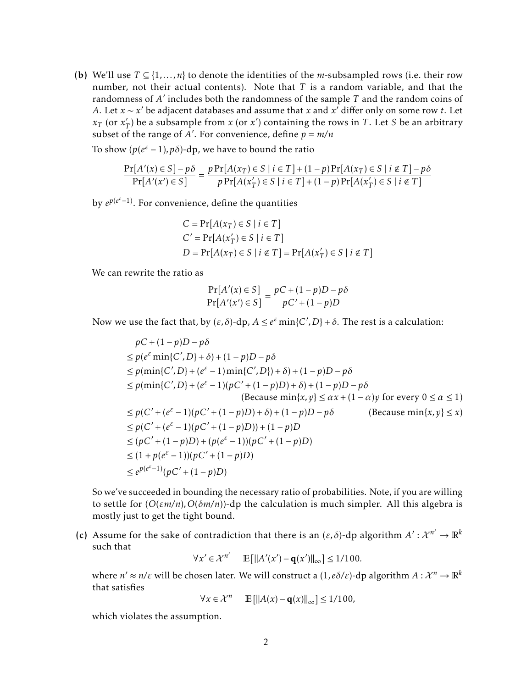(b) We'll use  $T \subseteq \{1, ..., n\}$  to denote the identities of the *m*-subsampled rows (i.e. their row number, not their actual contents). Note that *T* is a random variable, and that the randomness of *A'* includes both the randomness of the sample *T* and the random coins of *A*. Let  $x \sim x'$  be adjacent databases and assume that  $x$  and  $x'$  differ only on some row  $t$ . Let  $x_T$  (or  $x'_T$  $T$ ) be a subsample from *x* (or *x*<sup>'</sup>) containing the rows in *T*. Let *S* be an arbitrary subset of the range of A'. For convenience, define  $p = m/n$ 

To show  $(p(e^{\varepsilon}-1), p\delta)$ -dp, we have to bound the ratio

$$
\frac{\Pr[A'(x) \in S] - p\delta}{\Pr[A'(x') \in S]} = \frac{p \Pr[A(x_T) \in S \mid i \in T] + (1 - p) \Pr[A(x_T) \in S \mid i \in T] - p\delta}{p \Pr[A(x'_T) \in S \mid i \in T] + (1 - p) \Pr[A(x'_T) \in S \mid i \in T]}
$$

by  $e^{p(e^{ε}-1)}$ . For convenience, define the quantities

$$
C = \Pr[A(x_T) \in S \mid i \in T]
$$
  
\n
$$
C' = \Pr[A(x'_T) \in S \mid i \in T]
$$
  
\n
$$
D = \Pr[A(x_T) \in S \mid i \notin T] = \Pr[A(x'_T) \in S \mid i \notin T]
$$

We can rewrite the ratio as

$$
\frac{\Pr[A'(x) \in S]}{\Pr[A'(x') \in S]} = \frac{pC + (1 - p)D - p\delta}{pC' + (1 - p)D}
$$

Now we use the fact that, by  $(\varepsilon, \delta)$ -dp,  $A \leq e^{\varepsilon} \min\{C', D\} + \delta$ . The rest is a calculation:

$$
pC + (1 - p)D - p\delta
$$
  
\n
$$
\leq p(e^{\varepsilon} \min\{C', D\} + \delta) + (1 - p)D - p\delta
$$
  
\n
$$
\leq p(\min\{C', D\} + (e^{\varepsilon} - 1) \min\{C', D\}) + \delta) + (1 - p)D - p\delta
$$
  
\n
$$
\leq p(\min\{C', D\} + (e^{\varepsilon} - 1)(pC' + (1 - p)D) + \delta) + (1 - p)D - p\delta
$$
  
\n
$$
\leq p(C' + (e^{\varepsilon} - 1)(pC' + (1 - p)D) + \delta) + (1 - p)D - p\delta
$$
  
\n
$$
\leq p(C' + (e^{\varepsilon} - 1)(pC' + (1 - p)D)) + \delta) + (1 - p)D - p\delta
$$
  
\n
$$
\leq p(C' + (e^{\varepsilon} - 1)(pC' + (1 - p)D)) + (1 - p)D
$$
  
\n
$$
\leq (pC' + (1 - p)D) + (p(e^{\varepsilon} - 1))(pC' + (1 - p)D)
$$
  
\n
$$
\leq (1 + p(e^{\varepsilon} - 1))(pC' + (1 - p)D)
$$
  
\n
$$
\leq e^{p(e^{\varepsilon} - 1)}(pC' + (1 - p)D)
$$

So we've succeeded in bounding the necessary ratio of probabilities. Note, if you are willing to settle for  $(O(\varepsilon m/n), O(\delta m/n))$ -dp the calculation is much simpler. All this algebra is mostly just to get the tight bound.

(c) Assume for the sake of contradiction that there is an  $(\varepsilon, \delta)$ -dp algorithm  $A' : \mathcal{X}^{n'} \to \mathbb{R}^k$ such that

 $\forall x' \in \mathcal{X}^{n'}$   $\mathbb{E} [\|A'(x') - \mathbf{q}(x')\|_{\infty}] \le 1/100.$ 

where  $n' \approx n/\varepsilon$  will be chosen later. We will construct a  $(1, e \delta/\varepsilon)$ -dp algorithm  $A: \mathcal{X}^n \to \mathbb{R}^k$ that satisfies

$$
\forall x \in \mathcal{X}^n \qquad \mathbb{E}\left[\|A(x) - \mathbf{q}(x)\|_{\infty}\right] \le 1/100,
$$

which violates the assumption.